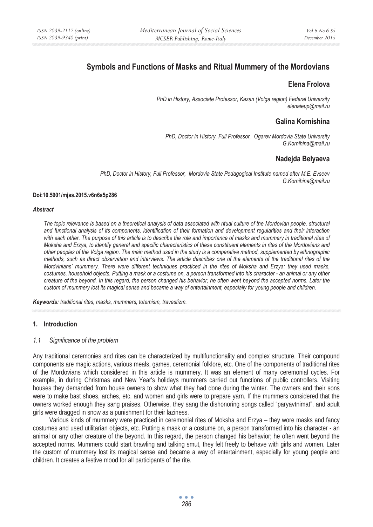# **Symbols and Functions of Masks and Ritual Mummery of the Mordovians**

## **Elena Frolova**

*PhD in History, Associate Professor, Kazan (Volga region) Federal University elenaieup@mail.ru* 

## **Galina Kornishina**

*PhD, Doctor in History, Full Professor, Ogarev Mordovia State University G.Kornihina@mail.ru* 

# **Nadejda Belyaeva**

*PhD, Doctor in History, Full Professor, Mordovia State Pedagogical Institute named after M.E. Evseev G.Kornihina@mail.ru* 

#### **Doi:10.5901/mjss.2015.v6n6s5p286**

#### *Abstract*

*The topic relevance is based on a theoretical analysis of data associated with ritual culture of the Mordovian people, structural and functional analysis of its components, identification of their formation and development regularities and their interaction* with each other. The purpose of this article is to describe the role and importance of masks and mummery in traditional rites of *Moksha and Erzya, to identify general and specific characteristics of these constituent elements in rites of the Mordovians and other peoples of the Volga region. The main method used in the study is a comparative method, supplemented by ethnographic methods, such as direct observation and interviews. The article describes one of the elements of the traditional rites of the Mordvinians' mummery. There were different techniques practiced in the rites of Moksha and Erzya: they used masks, costumes, household objects. Putting a mask or a costume on, a person transformed into his character - an animal or any other creature of the beyond. In this regard, the person changed his behavior; he often went beyond the accepted norms. Later the custom of mummery lost its magical sense and became a way of entertainment, especially for young people and children.* 

*Keywords: traditional rites, masks, mummers, totemism, travestizm.*

### **1. Introduction**

#### *1.1 Significance of the problem*

Any traditional ceremonies and rites can be characterized by multifunctionality and complex structure. Their compound components are magic actions, various meals, games, ceremonial folklore, etc. One of the components of traditional rites of the Mordovians which considered in this article is mummery. It was an element of many ceremonial cycles. For example, in during Christmas and New Year's holidays mummers carried out functions of public controllers. Visiting houses they demanded from house owners to show what they had done during the winter. The owners and their sons were to make bast shoes, arches, etc. and women and girls were to prepare yarn. If the mummers considered that the owners worked enough they sang praises. Otherwise, they sang the dishonoring songs called "paryavtnimat", and adult girls were dragged in snow as a punishment for their laziness.

Various kinds of mummery were practiced in ceremonial rites of Moksha and Erzya – they wore masks and fancy costumes and used utilitarian objects, etc. Putting a mask or a costume on, a person transformed into his character - an animal or any other creature of the beyond. In this regard, the person changed his behavior; he often went beyond the accepted norms. Mummers could start brawling and talking smut, they felt freely to behave with girls and women. Later the custom of mummery lost its magical sense and became a way of entertainment, especially for young people and children. It creates a festive mood for all participants of the rite.

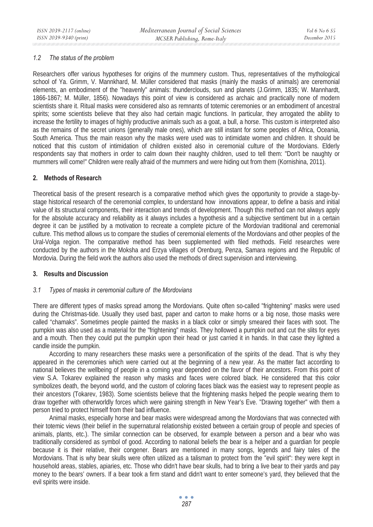### *1.2 The status of the problem*

Researchers offer various hypotheses for origins of the mummery custom. Thus, representatives of the mythological school of Ya. Grimm, V. Mannkhard, M. Müller considered that masks (mainly the masks of animals) are ceremonial elements, an embodiment of the "heavenly" animals: thunderclouds, sun and planets (J.Grimm, 1835; W. Mannhardt, 1866-1867; M. Müller, 1856). Nowadays this point of view is considered as archaic and practically none of modern scientists share it. Ritual masks were considered also as remnants of totemic ceremonies or an embodiment of ancestral spirits; some scientists believe that they also had certain magic functions. In particular, they arrogated the ability to increase the fertility to images of highly productive animals such as a goat, a bull, a horse. This custom is interpreted also as the remains of the secret unions (generally male ones), which are still instant for some peoples of Africa, Oceania, South America. Thus the main reason why the masks were used was to intimidate women and children. It should be noticed that this custom of intimidation of children existed also in ceremonial culture of the Mordovians. Elderly respondents say that mothers in order to calm down their naughty children, used to tell them: "Don't be naughty or mummers will come!" Children were really afraid of the mummers and were hiding out from them (Kornishina, 2011).

## **2. Methods of Research**

Theoretical basis of the present research is a comparative method which gives the opportunity to provide a stage-bystage historical research of the ceremonial complex, to understand how innovations appear, to define a basis and initial value of its structural components, their interaction and trends of development. Though this method can not always apply for the absolute accuracy and reliability as it always includes a hypothesis and a subjective sentiment but in a certain degree it can be justified by a motivation to recreate a complete picture of the Mordovian traditional and ceremonial culture. This method allows us to compare the studies of ceremonial elements of the Mordovians and other peoples of the Ural-Volga region. The comparative method has been supplemented with filed methods. Field researches were conducted by the authors in the Moksha and Erzya villages of Orenburg, Penza, Samara regions and the Republic of Mordovia. During the field work the authors also used the methods of direct supervision and interviewing.

### **3. Results and Discussion**

### *3.1 Types of masks in ceremonial culture of the Mordovians*

There are different types of masks spread among the Mordovians. Quite often so-called "frightening" masks were used during the Christmas-tide. Usually they used bast, paper and carton to make horns or a big nose, those masks were called "chamaks". Sometimes people painted the masks in a black color or simply smeared their faces with soot. The pumpkin was also used as a material for the "frightening" masks. They hollowed a pumpkin out and cut the slits for eyes and a mouth. Then they could put the pumpkin upon their head or just carried it in hands. In that case they lighted a candle inside the pumpkin.

According to many researchers these masks were a personification of the spirits of the dead. That is why they appeared in the ceremonies which were carried out at the beginning of a new year. As the matter fact according to national believes the wellbeing of people in a coming year depended on the favor of their ancestors. From this point of view S.A. Tokarev explained the reason why masks and faces were colored black. He considered that this color symbolizes death, the beyond world, and the custom of coloring faces black was the easiest way to represent people as their ancestors (Tokarev, 1983). Some scientists believe that the frightening masks helped the people wearing them to draw together with otherworldly forces which were gaining strength in New Year's Eve. "Drawing together" with them a person tried to protect himself from their bad influence.

Animal masks, especially horse and bear masks were widespread among the Mordovians that was connected with their totemic views (their belief in the supernatural relationship existed between a certain group of people and species of animals, plants, etc.). The similar connection can be observed, for example between a person and a bear who was traditionally considered as symbol of good. According to national beliefs the bear is a helper and a guardian for people because it is their relative, their congener. Bears are mentioned in many songs, legends and fairy tales of the Mordovians. That is why bear skulls were often utilized as a talisman to protect from the "evil spirit": they were kept in household areas, stables, apiaries, etc. Those who didn't have bear skulls, had to bring a live bear to their yards and pay money to the bears' owners. If a bear took a firm stand and didn't want to enter someone's yard, they believed that the evil spirits were inside.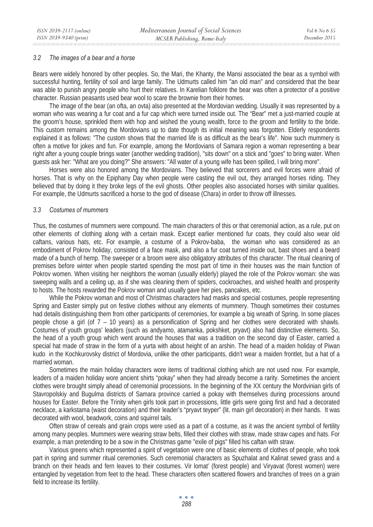#### *3.2 The images of a bear and a horse*

Bears were widely honored by other peoples. So, the Mari, the Khanty, the Mansi associated the bear as a symbol with successful hunting, fertility of soil and large family. The Udmurts called him "an old man" and considered that the bear was able to punish angry people who hurt their relatives. In Karelian folklore the bear was often a protector of a positive character. Russian peasants used bear wool to scare the brownie from their homes.

The image of the bear (an ofta, an ovta) also presented at the Mordovian wedding. Usually it was represented by a woman who was wearing a fur coat and a fur cap which were turned inside out. The "Bear" met a just-married couple at the groom's house, sprinkled them with hop and wished the young wealth, force to the groom and fertility to the bride. This custom remains among the Mordovians up to date though its initial meaning was forgotten. Elderly respondents explained it as follows: "The custom shows that the married life is as difficult as the bear's life". Now such mummery is often a motive for jokes and fun. For example, among the Mordovians of Samara region a woman representing a bear right after a young couple brings water (another wedding tradition), "sits down" on a stick and "goes" to bring water. When guests ask her: "What are you doing?" She answers: "All water of a young wife has been spilled, I will bring more".

Horses were also honored among the Mordovians. They believed that sorcerers and evil forces were afraid of horses. That is why on the Epiphany Day when people were casting the evil out, they arranged horses riding. They believed that by doing it they broke legs of the evil ghosts. Other peoples also associated horses with similar qualities. For example, the Udmurts sacrificed a horse to the god of disease (Chara) in order to throw off illnesses.

#### *3.3 Costumes of mummers*

Thus, the costumes of mummers were compound. The main characters of this or that ceremonial action, as a rule, put on other elements of clothing along with a certain mask. Except earlier mentioned fur coats, they could also wear old caftans, various hats, etc. For example, a costume of a Pokrov-baba, the woman who was considered as an embodiment of Pokrov holiday, consisted of a face mask, and also a fur coat turned inside out, bast shoes and a beard made of a bunch of hemp. The sweeper or a broom were also obligatory attributes of this character. The ritual cleaning of premises before winter when people started spending the most part of time in their houses was the main function of Pokrov women. When visiting her neighbors the woman (usually elderly) played the role of the Pokrov woman: she was sweeping walls and a ceiling up, as if she was cleaning them of spiders, cockroaches, and wished health and prosperity to hosts. The hosts rewarded the Pokrov woman and usually gave her pies, pancakes, etc.

While the Pokrov woman and most of Christmas characters had masks and special costumes, people representing Spring and Easter simply put on festive clothes without any elements of mummery. Though sometimes their costumes had details distinguishing them from other participants of ceremonies, for example a big wreath of Spring. In some places people chose a girl (of 7 – 10 years) as a personification of Spring and her clothes were decorated with shawls. Costumes of youth groups' leaders (such as andyamo, atamanka, pokshket, pryavt) also had distinctive elements. So, the head of a youth group which went around the houses that was a tradition on the second day of Easter, carried a special hat made of straw in the form of a yurta with about height of an arshin. The head of a maiden holiday of Piwan kudo in the Kochkurovsky district of Mordovia, unlike the other participants, didn't wear a maiden frontlet, but a hat of a married woman.

Sometimes the main holiday characters wore items of traditional clothing which are not used now. For example, leaders of a maiden holiday wore ancient shirts "pokay" when they had already become a rarity. Sometimes the ancient clothes were brought simply ahead of ceremonial processions. In the beginning of the XX century the Mordvinian girls of Stavropolskiy and Bugulma districts of Samara province carried a pokay with themselves during processions around houses for Easter. Before the Trinity when girls took part in processions, little girls were going first and had a decorated necklace, a karkstama (waist decoration) and their leader's "pryavt teyper" (lit. main girl decoration) in their hands. It was decorated with wool, beadwork, coins and squirrel tails.

Often straw of cereals and grain crops were used as a part of a costume, as it was the ancient symbol of fertility among many peoples. Mummers were wearing straw belts, filled their clothes with straw, made straw capes and hats. For example, a man pretending to be a sow in the Christmas game "exile of pigs" filled his caftan with straw.

Various greens which represented a spirit of vegetation were one of basic elements of clothes of people, who took part in spring and summer ritual ceremonies. Such ceremonial characters as Spuzhalat and Kalinat sewed grass and a branch on their heads and fern leaves to their costumes. Vir lomat' (forest people) and Viryavat (forest women) were entangled by vegetation from feet to the head. These characters often scattered flowers and branches of trees on a grain field to increase its fertility.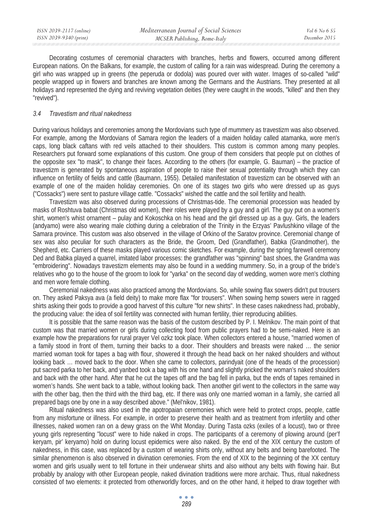| ISSN 2039-2117 (online) | Mediterranean Journal of Social Sciences | $Vol 6$ No $6S5$ |
|-------------------------|------------------------------------------|------------------|
| ISSN 2039-9340 (print)  | MCSER Publishing, Rome-Italy             | December 2015    |

Decorating costumes of ceremonial characters with branches, herbs and flowers, occurred among different European nations. On the Balkans, for example, the custom of calling for a rain was widespread. During the ceremony a girl who was wrapped up in greens (the peperuda or dodola) was poured over with water. Images of so-called "wild" people wrapped up in flowers and branches are known among the Germans and the Austrians. They presented at all holidays and represented the dying and reviving vegetation deities (they were caught in the woods, "killed" and then they "revived").

### *3.4 Travestism and ritual nakedness*

During various holidays and ceremonies among the Mordovians such type of mummery as travestizm was also observed. For example, among the Mordovians of Samara region the leaders of a maiden holiday called atamanka, wore men's caps, long black caftans with red veils attached to their shoulders. This custom is common among many peoples. Researchers put forward some explanations of this custom. One group of them considers that people put on clothes of the opposite sex "to mask", to change their faces. According to the others (for example, G. Bauman) – the practice of travestizm is generated by spontaneous aspiration of people to raise their sexual potentiality through which they can influence on fertility of fields and cattle (Baumann, 1955). Detailed manifestation of travestizm can be observed with an example of one of the maiden holiday ceremonies. On one of its stages two girls who were dressed up as guys ("Cossacks") were sent to pasture village cattle. "Cossacks" wished the cattle and the soil fertility and health.

Travestizm was also observed during processions of Christmas-tide. The ceremonial procession was headed by masks of Roshtuva babat (Christmas old women), their roles were played by a guy and a girl. The guy put on a women's shirt, women's whist ornament – pulay and Kokoschka on his head and the girl dressed up as a guy. Girls, the leaders (andyamo) were also wearing male clothing during a celebration of the Trinity in the Erzyas' Pavlushkino village of the Samara province. This custom was also observed in the village of Orkino of the Saratov province. Ceremonial change of sex was also peculiar for such characters as the Bride, the Groom, Ded (Grandfather), Babka (Grandmother), the Shepherd, etc. Carriers of these masks played various comic sketches. For example, during the spring farewell ceremony Ded and Babka played a quarrel, imitated labor processes: the grandfather was "spinning" bast shoes, the Grandma was "embroidering". Nowadays travestizm elements may also be found in a wedding mummery. So, in a group of the bride's relatives who go to the house of the groom to look for "yarka" on the second day of wedding, women wore men's clothing and men wore female clothing.

Ceremonial nakedness was also practiced among the Mordovians. So, while sowing flax sowers didn't put trousers on. They asked Paksya ava (a field deity) to make more flax "for trousers". When sowing hemp sowers were in ragged shirts asking their gods to provide a good harvest of this culture "for new shirts". In these cases nakedness had, probably, the producing value: the idea of soil fertility was connected with human fertility, thier reproducing abilities.

It is possible that the same reason was the basis of the custom described by P. I. Melnikov. The main point of that custom was that married women or girls during collecting food from public prayers had to be semi-naked. Here is an example how the preparations for rural prayer Vel ozkz took place. When collectors entered a house, "married women of a family stood in front of them, turning their backs to a door. Their shoulders and breasts were naked … the senior married woman took for tapes a bag with flour, showered it through the head back on her naked shoulders and without looking back … moved back to the door. When she came to collectors, parindyait (one of the heads of the procession) put sacred parka to her back, and yanbed took a bag with his one hand and slightly pricked the woman's naked shoulders and back with the other hand. After that he cut the tapes off and the bag fell in parka, but the ends of tapes remained in women's hands. She went back to a table, without looking back. Then another girl went to the collectors in the same way with the other bag, then the third with the third bag, etc. If there was only one married woman in a family, she carried all prepared bags one by one in a way described above." (Mel'nikov, 1981).

Ritual nakedness was also used in the apotropaian ceremonies which were held to protect crops, people, cattle from any misfortune or illness. For example, in order to preserve their health and as treatment from infertility and other illnesses, naked women ran on a dewy grass on the Whit Monday. During Tasta ozks (exiles of a locust), two or three young girls representing "locust" were to hide naked in crops. The participants of a ceremony of plowing around (per'f keryam, pir' keryamo) hold on during locust epidemics were also naked. By the end of the XIX century the custom of nakedness, in this case, was replaced by a custom of wearing shirts only, without any belts and being barefooted. The similar phenomenon is also observed in divination ceremonies. From the end of XIX to the beginning of the XX century women and girls usually went to tell fortune in their underwear shirts and also without any belts with flowing hair. But probably by analogy with other European people, naked divination traditions were more archaic. Thus, ritual nakedness consisted of two elements: it protected from otherworldly forces, and on the other hand, it helped to draw together with